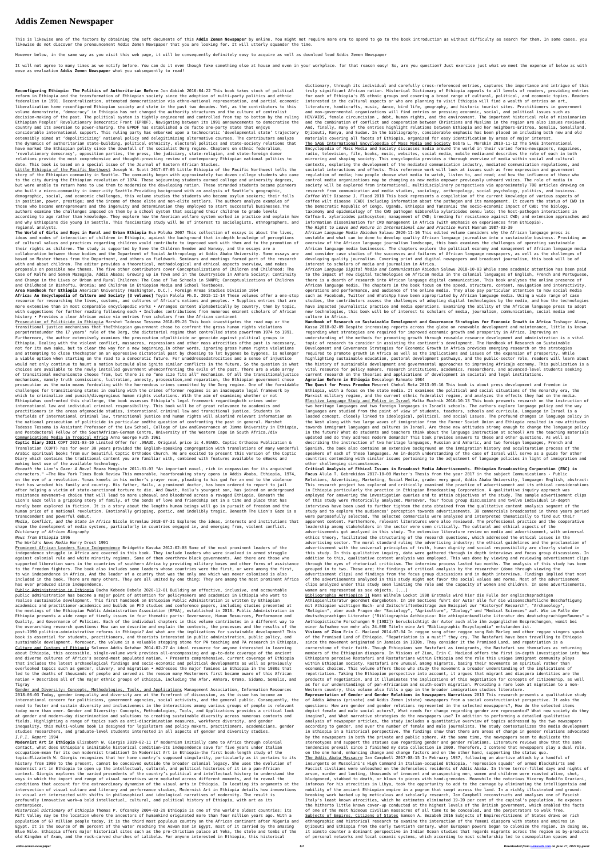## **Addis Zemen Newspaper**

This is likewise one of the factors by obtaining the soft documents of this Addis Zemen Newspaper by online. You might not require more era to spend to go to the book introduction as without difficulty as search for them. likewise do not discover the pronouncement Addis Zemen Newspaper that you are looking for. It will utterly squander the time.

It will not agree to many times as we notify before. You can do it even though fake something else at house and even in your workplace. for that reason easy! So, are you question? Just exercise just what we meet the expens ease as evaluation **Addis Zemen Newspaper** what you subsequently to read!

However below, in the same way as you visit this web page, it will be consequently definitely easy to acquire as well as download lead Addis Zemen Newspaper

**Reconfiguring Ethiopia: The Politics of Authoritarian Reform** Jon Abbink 2016-04-22 This book takes stock of political reform in Ethiopia and the transformation of Ethiopian society since the adoption of multi-party politics and ethnic federalism in 1991. Decentralization, attempted democratization via ethno-national representation, and partial economic liberalization have reconfigured Ethiopian society and state in the past two decades. Yet, as the contributors to this volume demonstrate, 'democracy' in Ethiopia has not changed the authority structures and the culture of centralist decision-making of the past. The political system is tightly engineered and controlled from top to bottom by the ruling Ethiopian Peoples' Revolutionary Democratic Front (EPRDF). Navigating between its 1991 announcements to democratise the country and its aversion to power-sharing, the EPRDF has established a de facto one-party state that enjoys considerable international support. This ruling party has embarked upon a technocratic 'developmental state' trajectory ostensibly aimed at 'depoliticizing' national policy and delegitimizing alternative courses. The contributors analyze the dynamics of authoritarian state-building, political ethnicity, electoral politics and state-society relations that have marked the Ethiopian polity since the downfall of the socialist Derg regime. Chapters on ethnic federalism, 'revolutionary democracy', opposition parties, the press, the judiciary, state-religion, and state-foreign donor relations provide the most comprehensive and thought-provoking review of contemporary Ethiopian national politics to date. This book is based on a special issue of the Journal of Eastern African Studies.

**Area Handbook for Ethiopia** American University (Washington, D.C.). Foreign Areas Studies Division 1964 **Africa: An Encyclopedia of Culture and Society [3 volumes]** Toyin Falola Ph.D. 2015-12-14 These volumes offer a one-stop resource for researching the lives, customs, and cultures of Africa's nations and peoples. • Supplies entries that are more extensive than in most comparable encyclopedic works • Arranges content alphabetically by country, then by topic, with suggestions for further reading following each • Includes contributions from numerous eminent scholars of African history • Provides a clear African voice via entries from scholars from the African continent

Little Ethiopia of the Pacific Northwest Joseph W. Scott 2017-07-05 Little Ethiopia of the Pacific Northwest tells the story of the Ethiopian community in Seattle. The community began with approximately two dozen college students who came to the city during the Ethiopian revolution of 1974. These sojourning students earned college and university degrees, but were unable to return home to use them to modernize the developing nation. These stranded students became pioneers who built a micro-community in inner-city Seattle.Providing background with an analysis of Seattle's geographic, demographic, social, and economic challenges, this volume studies the students who became asylum seekers; their falls in position, power, prestige; and the income of these elite and non-elite settlers. The authors analyze examples of those who became entrepreneurs and the ingenuity and determination they employed to start successful businesses.The authors examine the challenges imposed on them by a school system that assigned their children to grade levels according to age rather than knowledge. They explore how the American welfare system worked in practice and explain how and why Ethiopians die young in Seattle. This fascinating study will be of interest to sociologists, ethnographers, and regional analysts.

**The World of Girls and Boys in Rural and Urban Ethiopia** Eva Poluha 2007 This collection of essays is about the lives, ideas and modes of interaction of children in Ethiopia, against the background that in-depth knowledge of perceptions of cultural values and practices regarding children would contribute to improved work with them and to the promotion of their rights as children. The study is supported by Save the Children Sweden and Norway, and the essays are a collaboration between those bodies and the Department of Social Anthropology at Addis Ababa University. Some essays are based on Master theses from the Department, and others on fieldwork. Seminars and meetings formed part of the research with and about children. The editor provides a theoretical, methodological and ethical aspects overview, and makes proposals on possible new themes. The five other contributors cover Conceptualizations of Children and Childhood: The Case of Kolfe and Semen Mazegaja, Addis Ababa; Growing up in Town and in the Countryside in Amhara Society; Continuity and Change in the Lives or Urban and Rural Children: The Case of Two Schools in SNNPR; Conceptualizations of Children and Childhood in Bishoftu, Oromia; and Children in Ethiopian Media and School Textbooks.

Prosecution of Politicide in Ethiopia Marshet Tadesse Tessema 2018-09-26 This book investigates the road map or the

transitional justice mechanisms that theEthiopian government chose to confront the gross human rights violations perpetratedunder the 17 years' rule of the Derg, the dictatorial regime that controlled state powerfrom 1974 to 1991. Furthermore, the author extensively examines the prosecution ofpoliticide or genocide against political groups in Ethiopia. Dealing with the violent conflict, massacres, repressions and other mass atrocities ofthe past is necessary, not for its own sake, but to clear the way for a new beginning.In other words, ignoring gross human rights violations and attempting to close thechapter on an oppressive dictatorial past by choosing to let bygones be bygones, is nolonger a viable option when starting on the road to a democratic future. For unaddressedatrocities and a sense of injustice would not only continue to haunt a nation butcould also ignite similar conflicts in the future. So the question is what choices are available to the newly installed government whenconfronting the evils of the past. There are a wide array of transitional mechanismsto choose from, but there is no "one size fits all" mechanism. Of all the transitionaljustice mechanisms, namely truth commissions, lustration, amnesty, prosecution,and reparation, the Ethiopian government chose prosecution as the main means fordealing with the horrendous crimes committed by the Derg regime. One of the formidable challenges for transitioning states in dealing with the crimes offormer regimes is an inadequate legal framework by which to criminalize and punish/divegregious human rights violations. With the aim of examining whether or not Ethiopiahas confronted this challenge, the book assesses Ethiopia's legal framework regardingboth crimes under international law and individual criminal responsibility. This book will be of great relevance to academics and practitioners in the areas ofgenocide studies, international criminal law and transitional justice. Students in thefields of international criminal law, transitional justice and human rights will alsofind relevant information on the national prosecution of politicide in particular andthe question of confronting the past in general. Marshet Tadesse Tessema is Assistant Professor of the Law School, College of Law andGovernance at Jimma University in Ethiopia, and Postdoctoral Fellow of the SouthAfrican-German Centre, University of the Western Cape in South Africa./div Communications Media in Tropical Africa Arno George Huth 1961

**Coptic Diary 2021** COPT 2021-03-10 Limited Offer for .99AUD. Original price is 4.99AUD. Coptic Orthodox Publication & Translation (COPT) has for over 30 years provided the English-speaking congregation with translations of many wonderful Arabic spiritual books from our beautiful Coptic Orthodox Church. We are excited to present this version of the Coptic Diary which contains the traditional content you are familiar with, combined with features available to eBooks and making best use of the available technology.

*Beneath the Lion's Gaze: A Novel* Maaza Mengiste 2011-01-03 "An important novel, rich in compassion for its anguished characters." —The New York Times Book Review This memorable, heartbreaking story opens in Addis Ababa, Ethiopia, 1974, on the eve of a revolution. Yonas kneels in his mother's prayer room, pleading to his god for an end to the violence that has wracked his family and country. His father, Hailu, a prominent doctor, has been ordered to report to jail after helping a victim of state-sanctioned torture to die. And Dawit, Hailu's youngest son, has joined an underground resistance movement—a choice that will lead to more upheaval and bloodshed across a ravaged Ethiopia. Beneath the Lion's Gaze tells a gripping story of family, of the bonds of love and friendship set in a time and place that has rarely been explored in fiction. It is a story about the lengths human beings will go in pursuit of freedom and the human price of a national revolution. Emotionally gripping, poetic, and indelibly tragic, Beneath The Lion's Gaze is a transcendent and powerful debut.

*Media, Conflict, and the State in Africa* Nicole Stremlau 2018-07-31 Explores the ideas, interests and institutions that shape the development of media systems, particularly in countries engaged in, and emerging from, violent conflict. *Dictionary of African Biography*

## *News from Ethiopia* 1996

## *The World's News Media* Harry Drost 1991

Prominent African Leaders Since Independence Bridgette Kasuka 2012-02-08 Some of the most prominent leaders of the independence struggle in Africa are covered in this book. They include leaders who were involved in armed struggle against colonial rule and white minority regimes. Some of them overthrew black governments. And there are those who supported liberation wars in the countries of southern Africa by providing military bases and other forms of assistance to the freedom fighters. The book also includes some leaders whose countries were the first, or were among the first, to win independence in Africa. And the leader of a country that was the only one which was never colonised is also included in the book. There are many others. They are all united by one thing: They are among the most prominent Africa has ever produced since independence.

Public Administration in Ethiopia Bacha Kebede Debela 2020-12-01 Building an effective, inclusive, and accountable public administration has become a major point of attention for policymakers and academics in Ethiopia who want to realise sustainable development. This first handbook on Ethiopian Public Administration is written by Ethiopian academics and practitioner-academics and builds on PhD studies and conference papers, including studies presented at the meetings of the Ethiopian Public Administration Association (EPAA), established in 2016. Public Administration in Ethiopia presents a wide range of timely issues in four thematic parts: Governance, Human Resources, Performance and Quality, and Governance of Policies. Each of the individual chapters in this volume contributes in a different way to the overarching research questions: How can we describe and explain the contexts, the processes and the results of the post-1990 politico-administrative reforms in Ethiopia? And what are the implications for sustainable development? This book is essential for students, practitioners, and theorists interested in public administration, public policy, and sustainable development. Moreover, the volume is a valuable stepping stone for PA teaching and PA research in Ethiopia. Culture and Customs of Ethiopia Solomon Addis Getahun 2014-02-27 An ideal resource for anyone interested in learning about Ethiopia, this accessible, single-volume work provides all-encompassing and up-to-date coverage of the ancient and diverse cultures of Africa's second-most populated nation. • Presents comprehensive, current coverage of Ethiopia that includes the latest archaeological findings and socio-economic and political developments as well as previously overlooked topics such as gender, slavery, and migration • Addresses the major famines in Ethiopia in the 1980s that led to the deaths of thousands of people and served as the reason many Westerners first became aware of this African nation • Describes all of the major ethnic groups of Ethiopia, including the Afar, Amhara, Oromo, Sidamo, Somalis, and Tigray Gender and Diversity: Concepts, Methodologies, Tools, and Applications Management Association, Information Resources 2018-08-03 Today, gender inequality and diversity are at the forefront of discussion, as the issue has become an international concern for politicians, government agencies, social activists, and the general public. Consequently, the need to foster and sustain diversity and inclusiveness in the interactions among various groups of people is relevant today more than ever. Gender and Diversity: Concepts, Methodologies, Tools, and Applications provides a critical look at gender and modern-day discrimination and solutions to creating sustainable diversity across numerous contexts and fields. Highlighting a range of topics such as anti-discrimination measures, workforce diversity, and gender inequality, this multi-volume book is designed for legislators and policy makers, practitioners, academicians, gender studies researchers, and graduate-level students interested in all aspects of gender and diversity studies. *I.P.I. Report* 1994 **Modernist Art in Ethiopia** Elizabeth W. Giorgis 2019-02-11 If modernism initially came to Africa through colonial contact, what does Ethiopia's inimitable historical condition—its independence save for five years under Italian occupation—mean for its own modernist tradition? In Modernist Art in Ethiopia—the first book-length study of the topic—Elizabeth W. Giorgis recognizes that her home country's supposed singularity, particularly as it pertains to its history from 1900 to the present, cannot be conceived outside the broader colonial legacy. She uses the evolution of modernist art in Ethiopia to open up the intellectual, cultural, and political histories of it in a pan-African context. Giorgis explores the varied precedents of the country's political and intellectual history to understand the ways in which the import and range of visual narratives were mediated across different moments, and to reveal the conditions that account for the extraordinary dynamism of the visual arts in Ethiopia. In locating its arguments at the intersection of visual culture and literary and performance studies, Modernist Art in Ethiopia details how innovations in visual art intersected with shifts in philosophical and ideological narratives of modernity. The result is profoundly innovative work—a bold intellectual, cultural, and political history of Ethiopia, with art as its centerpiece. *Historical Dictionary of Ethiopia* Thomas P. Ofcansky 2004-03-29 Ethiopia is one of the world's oldest countries; its Rift Valley may be the location where the ancestors of humankind originated more than four million years ago. With a population of 67 million people today, it is the third most populous country on the African continent after Nigeria and Egypt. It is the source of 86 percent of the water reaching the Aswan Dam in Egypt, most of it carried by the amazing Blue Nile. Ethiopia offers major historical sites such as the pre-Christian palace at Yeha, the stele and tombs of the old Kingdom of Axum, and the rock-carved churches of Lalibela. For anyone interested in Ethiopia, this historical

dictionary, through its individual and carefully cross-referenced entries, captures the importance and intrigue of this truly significant African nation. Historical Dictionary of Ethiopia appeals to all levels of readers, providing entries for each of Ethiopia's 85 ethnic groups and covering a broad range of cultural, political, and economic topics. Readers interested in the cultural aspects or who are planning to visit Ethiopia will find a wealth of entries on art, literature, handicrafts, music, dance, bird life, geography, and historic tourist sites. Practitioners in government and non-governmental organizations will find entries on pressing economic, social, and political issues such as HIV/AIDS, female circumcision , debt, human rights, and the environment. The important historical role of missionaries and the combination of conflict and cooperation between Christians and Muslims in the region are also issues reviewed. And, finally, many of the entries highlight relations between Ethiopia and her neighbors-Eritrea, Somalia, Somaliland, Djibouti, Kenya, and Sudan. In the bibliography, considerable emphasis has been placed on including both new and old materials covering all facets of Ethiopia, organized for easy identification by areas of major interest. The SAGE International Encyclopedia of Mass Media and Society Debra L. Merskin 2019-11-12 The SAGE International Encyclopedia of Mass Media and Society discusses media around the world in their varied forms—newspapers, magazines, radio, television, film, books, music, websites, social media, mobile media—and describes the role of each in both mirroring and shaping society. This encyclopedia provides a thorough overview of media within social and cultural contexts, exploring the development of the mediated communication industry, mediated communication regulations, and societal interactions and effects. This reference work will look at issues such as free expression and government regulation of media; how people choose what media to watch, listen to, and read; and how the influence of those who control media organizations may be changing as new media empower previously unheard voices. The role of media in society will be explored from international, multidisciplinary perspectives via approximately 700 articles drawing on research from communication and media studies, sociology, anthropology, social psychology, politics, and business. *Coffee Wilt Disease* J. Flood 2010 This book represents a compilation of the current knowledge of various aspects of coffee wilt disease (CWD) including information about the pathogen and its management. It covers the status of CWD in the Democratic Republic of Congo, Uganda, Ethiopia and Tanzania; the socio-economic impact of CWD; the biology, taxonomy and epidemiology of the CWD pathogen Gibberella xylarioides sensu lato; the host-pathogen interactions in Coffea-G. xylarioides pathosystem; management of CWD; breeding for resistance against CWD; and extension approaches and information dissemination for CWD management in Africa (with emphasis on experiences from Ethiopia). *The Right to Leave and Return in International Law and Practice* Hurst Hannum 1987-03-30

*African Language Media* Abiodun Salawu 2020-11-16 This edited volume considers why the African language press is unstable and what can be done to develop quality African language journalism into a sustainable business. Providing an overview of the African language journalism landscape, this book examines the challenges of operating sustainable African language media businesses. The chapters explore the political economy and management of African language media and consider case studies of the successes and failures of African language newspapers, as well as the challenges of developing quality journalism. Covering print and digital newspapers and broadcast journalism, this book will be of interest to scholars of media and journalism in Africa.

*African Language Digital Media and Communication* Abiodun Salawu 2018-10-03 While some academic attention has been paid to the impact of new digital technologies on African media in the colonial languages of English, French and Portuguese, there is a dearth of research into African language digital communication. This book analyses the online presence of African language media. The chapters in the book focus on the speed, structure, content, navigation and interactivity, operations and performance, and audience of the online media. They also pay particular attention to how social media such as Facebook, Twitter and WhatsApp have been appropriated by African language media. Using a wide range of case studies, the contributors assess the challenges of adopting digital technologies by the media, and how the technologies have impacted journalistic practice and media operations. Examining the ability of the African language press to adopt new technologies, this book will be of interest to scholars of media, journalism, communication, social media and culture in Africa.

**Handbook of Research on Sustainable Development and Governance Strategies for Economic Growth in Africa** Teshager Alemu,

Kassa 2018-02-09 Despite increasing reports across the globe on renewable development and maintenance, little is known regarding what strategies are required for improved economic growth and prosperity in Africa. Improving an understanding of the methods for promoting growth through reusable resource development and administration is a vital topic of research to consider in assisting the continent's development. The Handbook of Research on Sustainable Development and Governance Strategies for Economic Growth in Africa provides emerging research on the strategies required to promote growth in Africa as well as the implications and issues of the expansion of prosperity. While highlighting sustainable education, pastoral development pathways, and the public-sector role, readers will learn about the history of sustainable development and governmental approaches to improving Africa<sup>ns</sup> economy. This publication is a vital resource for policy makers, research institutions, academics, researchers, and advanced-level students seeking current research on the theories and applications of development in societal and legal institutions. **Agrarian Reform in Ethiopia** Dessalegn Rahmato 1984

**The Quest for Press Freedom** Meseret Chekol Reta 2013-05-16 This book is about press development and freedom in Ethiopia, with a focus on the state media. It examines the political and social situations of the monarchy era, the Marxist military regime, and the current ethnic federalist regime, and analyzes the effects they had on the media. Elective Language Study and Policy in Israel Malka Muchnik 2016-10-13 This book presents research on the instruction of two heritage languages and two foreign languages in Israeli schools. The authors explore language policy and the way languages are studied from the point of view of students, teachers, schools and curricula. Language in Israel is a loaded concept, closely linked to ideological, political, and social issues. The profound changes in language policy in the West along with two large waves of immigration from the Former Soviet Union and Ethiopia resulted in new attitudes towards immigrant languages and cultures in Israel. Are these new attitudes strong enough to change the language policy in the future? What do students and teachers think about the language instruction at school? Are the teaching materials updated and do they address modern demands? This book provides answers to these and other questions. As well as describing the instruction of two heritage languages, Russian and Amharic, and two foreign languages, French and Spanish, the book also contains an extensive background on the immigration history and acculturation process of the speakers of each of these languages. An in-depth understanding of the case of Israel will serve as a guide for other countries contending with similar issues pertaining to the adjustment of language policies in light of immigration and other challenging circumstances.

**Critical Analysis of Ethical Issues in Broadcast Media Advertisements. Ethiopian Broadcasting Corporation (EBC) in Focus** Alula T. Gebrekidan 2017-10-09 Master's Thesis from the year 2017 in the subject Communications - Public Relations, Advertising, Marketing, Social Media, grade: very good, Addis Ababa University, language: English, abstract: This research project has explored and critically examined the practice of advertisement and its ethical considerations in Ethiopia particularly the practice in Ethiopian Broadcasting Corporation. A qualitative inquiry approach was employed for answering the investigation queries and to attain objectives of the study. The sample advertisement clips of this study were rhetorically analyzed. Moreover, four focus group discussions and twelve individual in-depth interviews have been used to further tighten the data obtained from the qualitative content analysis segment of the study and to explore the audiences' perception towards advertisements. 30 commercials broadcasted in three years period were purposefully selected. The selected commercials were analyzed and interpreted thematically to find out their apparent content. Furthermore, relevant literatures were also reviewed. The professional practice and the cooperative leadership among stakeholders in the sector were seen critically. The cultural and ethical aspects of the advertisements got analyzed in this study. The extensive literature review on media and advertisement, with universal ethics theory, facilitated the structuring of the research questions, which addressed the ethical issues in the advertising sector. The moral standard ruling the advertising industry; the ethical guidelines and the proclamation of advertisement with the universal principles of truth, human dignity and social responsibility are clearly stated in this study. In this qualitative inquiry, data were gathered through in depth interviews and focus group discussions. In addition to this, qualitative content analysis was employed. This was done by viewing and reviewing advertisement clips through the eyes of rhetorical criticism. The interview process lasted two months. The analysis of this study has been grouped in to two. These are; the findings of critical analysis by the researcher (done through viewing the advertisement clips) and findings from the focus group discussions and in depth interviews. Findings implied that most of the advertisements analyzed in this study might not favor the social values and norms. Most of the advertisement clips analyzed under this study seem limiting the role and the capacity of women and children. In some advertisements, women are represented as sex objects. [...]

Bibliographia Aethiopica II Hans Wilhelm Lockot 1998 Erstmals wird hier die Fulle der englischsprachigen Athiopienliteratur geordnet dargeboten. In 100 Sections fuhrt der Autor alle fur die wissenschaftliche Beschaftigung mit Athiopien wichtigen Buch- und Zeitschriftenbeitrage zum Beispiel zur "Historyof Research", "Archaeology", "Religion", aber auch Fragen der "Sociology", "Agriculture", "Zoology" und "Medical Sciences" auf. Wie im Falle der deutschsprachigen Literatur ("Bibliographia Aethiopica: Die athiopienkundliche Literatur des deutschsprachigenRaumes" = Aethiopistische Forschungen 9 [1982]) berucksichtigt der Autor auch alle ihm zuganglichen Besprechungen, womit bei einer Aufnahme von mehr als 24.000 Titeln eine Art "Bibliographic Enzyclopedia" entstanden ist. **Visions of Zion** Erin C. MacLeod 2014-07-04 In reggae song after reggae song Bob Marley and other reggae singers speak of the Promised Land of Ethiopia. "Repatriation is a must!" they cry. The Rastafari have been travelling to Ethiopia since the movement originated in Jamaica in 1930s. They consider it the Promised Land, and repatriation is a cornerstone of their faith. Though Ethiopians see Rastafari as immigrants, the Rastafari see themselves as returning members of the Ethiopian diaspora. In Visions of Zion, Erin C. MacLeod offers the first in-depth investigation into how Ethiopians perceive Rastafari and Rastafarians within Ethiopia and the role this unique immigrant community plays within Ethiopian society. Rastafari are unusual among migrants, basing their movements on spiritual rather than economic choices. This volume offers those who study the movement a broader understanding of the implications of repatriation. Taking the Ethiopian perspective into account, it argues that migrant and diaspora identities are the products of negotiation, and it illuminates the implications of this negotiation for concepts of citizenship, as well as for our understandings of pan-Africanism and south-south migration. Providing a rare look at migration to a non-Western country, this volume also fills a gap in the broader immigration studies literature. **Representation of Gender and Gender Relations in Newspapers Narratives** 2013 This research presents a qualitative study of Addis Admass (private) and Addis Zemen (state) newspapers from a social constructionist perspective. It asks the questions: How are gender and gender relations represented in the selected newspapers?, How do the selected items depict female and male social actors?, What needs for change regarding gender are represented? What new society do they imagine?, and What narrative strategies do the newspapers use? In addition to performing a detailed qualitative analysis of newspaper articles, the study includes a quantitative overview of topics addressed by the two newspapers according to gender, and over the number of female and male journalists. The study contextualizes the media development in Ethiopia in a historical perspective. The findings show that there are areas of change in gender relations advocated by the newspapers in both the private and public sphere. At the same time, the newspapers seem to duplicate the stereotypes and support the statues quo regarding gender and gender relations. Literature reviews show that the same tendencies prevail since I finished my data collection in 2000. Therefore, I contend that newspapers play a dual role, on the one hand, enhancing change and change factors and on the other hand, supporting the status quo. The Addis Ababa Massacre Ian Campbell 2017-08-15 In February 1937, following an abortive attack by a handful of insurgents on Mussolini's High Command in Italian-occupied Ethiopia, 'repression squads' of armed Blackshirts and Fascist civilians were unleashed on the defenseless residents of Addis Ababa. In three terror-filled days and nights of arson, murder and looting, thousands of innocent and unsuspecting men, women and children were roasted alive, shot, bludgeoned, stabbed to death, or blown to pieces with hand-grenades. Meanwhile the notorious Viceroy Rodolfo Graziani, infamous for his atrocities in Libya, took the opportunity to add to the carnage by eliminating the intelligentsia and nobility of the ancient Ethiopian empire in a pogrom that swept across the land. In a richly illustrated and groundbreaking work backed up by meticulous and scholarly research, Ian Campbell reconstructs and analyses one of Fascist Italy's least known atrocities, which he estimates eliminated 19-20 per cent of the capital's population. He exposes the hitherto little known cover-up conducted at the highest levels of the British government, which enabled the facts of one of the most hideous civilian massacres of all time to be concealed, and the perpetrators to walk free. Subjects of Empires, Citizens of States Samson A. Bezabeh 2016 Subjects of Empires/Citizens of States draws on rich ethnographic and historical research to examine the interaction of the Yemeni diaspora with states and empires in Djibouti and Ethiopia from the early twentieth century, when European powers began to colonize the region. In doing so, it aimsto counter a dominant perspective in Indian Ocean studies that regards migrants across the region as by-products of personal networks and local oceanic systems, which according to most scholarship led to cosmopolitan spaces and